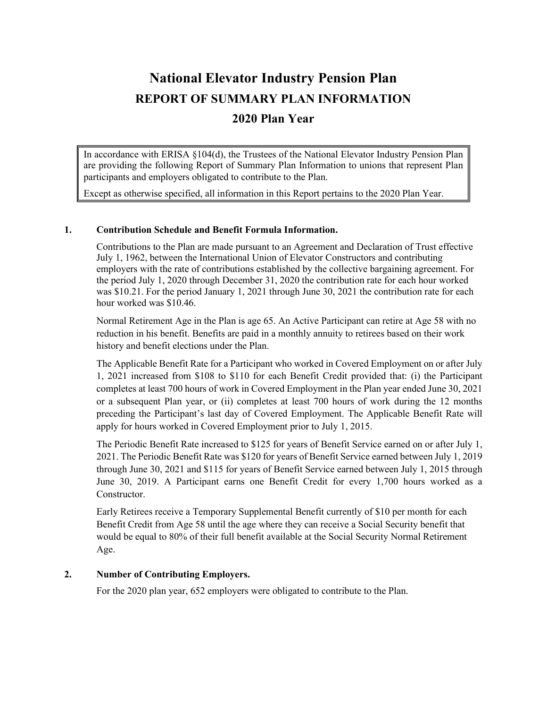# **National Elevator Industry Pension Plan REPORT OF SUMMARY PLAN INFORMATION 2020 Plan Year**

In accordance with ERISA §104(d), the Trustees of the National Elevator Industry Pension Plan are providing the following Report of Summary Plan Information to unions that represent Plan participants and employers obligated to contribute to the Plan.

Except as otherwise specified, all information in this Report pertains to the 2020 Plan Year.

### **1. Contribution Schedule and Benefit Formula Information.**

Contributions to the Plan are made pursuant to an Agreement and Declaration of Trust effective July 1, 1962, between the International Union of Elevator Constructors and contributing employers with the rate of contributions established by the collective bargaining agreement. For the period July 1, 2020 through December 31, 2020 the contribution rate for each hour worked was \$10.21. For the period January 1, 2021 through June 30, 2021 the contribution rate for each hour worked was \$10.46.

Normal Retirement Age in the Plan is age 65. An Active Participant can retire at Age 58 with no reduction in his benefit. Benefits are paid in a monthly annuity to retirees based on their work history and benefit elections under the Plan.

The Applicable Benefit Rate for a Participant who worked in Covered Employment on or after July 1, 2021 increased from \$108 to \$110 for each Benefit Credit provided that: (i) the Participant completes at least 700 hours of work in Covered Employment in the Plan year ended June 30, 2021 or a subsequent Plan year, or (ii) completes at least 700 hours of work during the 12 months preceding the Participant's last day of Covered Employment. The Applicable Benefit Rate will apply for hours worked in Covered Employment prior to July 1, 2015.

The Periodic Benefit Rate increased to \$125 for years of Benefit Service earned on or after July 1, 2021. The Periodic Benefit Rate was \$120 for years of Benefit Service earned between July 1, 2019 through June 30, 2021 and \$115 for years of Benefit Service earned between July 1, 2015 through June 30, 2019. A Participant earns one Benefit Credit for every 1,700 hours worked as a Constructor.

Early Retirees receive a Temporary Supplemental Benefit currently of \$10 per month for each Benefit Credit from Age 58 until the age where they can receive a Social Security benefit that would be equal to 80% of their full benefit available at the Social Security Normal Retirement Age.

# **2. Number of Contributing Employers.**

For the 2020 plan year, 652 employers were obligated to contribute to the Plan.